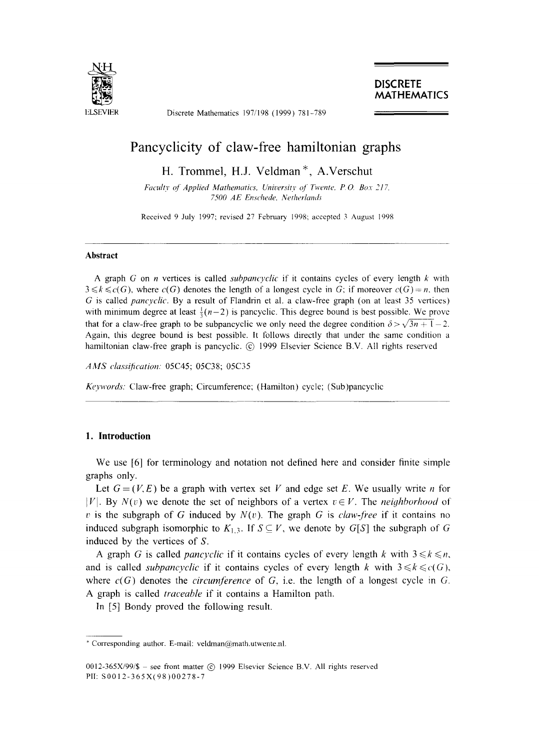

Discrete Mathematics 197/198 (1999) 781-789

**DISCRETE MATHEMATICS** 

# **Pancyclicity of claw-free hamiltonian graphs**

H. Trommel, H.J. Veldman \*, A.Verschut

Faculty of Applied Mathematics, University of Twente, P.O. Box 217. *7500 AE Enschede, Netherlands* 

Received 9 July 1997; revised 27 February 1998; accepted 3 August 1998

### **Abstract**

A graph G on n vertices is called *subpancyclic* if it contains cycles of every length  $k$  with  $3 \leq k \leq c(G)$ , where  $c(G)$  denotes the length of a longest cycle in G; if moreover  $c(G) = n$ , then G is called *pancyclic.* By a result of Flandrin et al. a claw-free graph (on at least 35 vertices) with minimum degree at least  $\frac{1}{3}(n-2)$  is pancyclic. This degree bound is best possible. We prove that for a claw-free graph to be subpancyclic we only need the degree condition  $\delta > \sqrt{3n + 1} - 2$ . Again, this degree bound is best possible. It follows directly that under the same condition a hamiltonian claw-free graph is pancyclic. @ 1999 Elsevier Science B.V. All rights reserved

*AMS class!fication:* 05C45; 05C38; 05C35

*Keywords:* Claw-free graph; Circumference; (Hamilton) cycle; (Sub)pancyclic

#### **1. Introduction**

We use [6] for terminology and notation not defined here and consider finite simple graphs only.

Let  $G = (V, E)$  be a graph with vertex set V and edge set E. We usually write n for  $|V|$ . By  $N(v)$  we denote the set of neighbors of a vertex  $v \in V$ . The *neighborhood* of  $v$  is the subgraph of G induced by  $N(v)$ . The graph G is *claw-free* if it contains no induced subgraph isomorphic to  $K_{1,3}$ . If  $S \subseteq V$ , we denote by  $G[S]$  the subgraph of G induced by the vertices of S.

A graph G is called *pancyclic* if it contains cycles of every length k with  $3 \le k \le n$ , and is called *subpancyclic* if it contains cycles of every length k with  $3 \le k \le c(G)$ , where  $c(G)$  denotes the *circumference* of G, i.e. the length of a longest cycle in G. A graph is called *traceable* if it contains a Hamilton path.

In [5] Bondy proved the following result.

<sup>\*</sup> Corresponding author. E-mail: veldman@math.utwente.nl.

<sup>0012-365</sup>X/99/\$ - see front matter  $\circ$  1999 Elsevier Science B.V. All rights reserved PII: S0012-365X(98)00278-7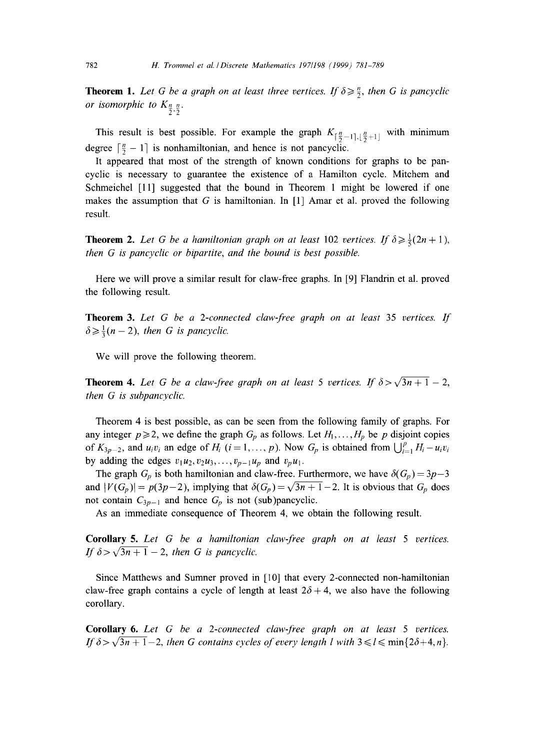**Theorem 1.** Let G be a graph on at least three vertices. If  $\delta \geq \frac{n}{2}$ , then G is pancyclic *or isomorphic to*  $K_{\frac{n}{2},\frac{n}{2}}$ .

This result is best possible. For example the graph  $K_{\lceil \frac{n}{2}-1 \rceil, \lceil \frac{n}{2}+1 \rceil}$  with minimum degree  $\lceil \frac{n}{2} - 1 \rceil$  is nonhamiltonian, and hence is not pancyclic.

It appeared that most of the strength of known conditions for graphs to be pancyclic is necessary to guarantee the existence of a Hamilton cycle. Mitchem and Schmeichel [11] suggested that the bound in Theorem 1 might be lowered if one makes the assumption that G is hamiltonian. In  $[1]$  Amar et al. proved the following result.

**Theorem 2.** Let G be a hamiltonian graph on at least 102 vertices. If  $\delta \geq \frac{1}{5}(2n+1)$ , *then G is pancyclic or bipartite, and the bound is best possible.* 

Here we will prove a similar result for claw-free graphs. In [9] Flandrin et al. proved the following result.

**Theorem** 3. *Let G be a 2-connected claw-free graph on at least* 35 *vertices. If*   $\delta \geq \frac{1}{3}(n-2)$ , *then G is pancyclic.* 

We will prove the following theorem.

**Theorem 4.** Let G be a claw-free graph on at least 5 vertices. If  $\delta > \sqrt{3n+1} - 2$ , *then G is subpancyclic.* 

Theorem 4 is best possible, as can be seen from the following family of graphs. For any integer  $p \ge 2$ , we define the graph  $G_p$  as follows. Let  $H_1, \ldots, H_p$  be p disjoint copies of  $K_{3p-2}$ , and  $u_i v_i$  an edge of  $H_i$  ( $i=1,\ldots, p$ ). Now  $G_p$  is obtained from  $\bigcup_{i=1}^p H_i - u_i v_i$ by adding the edges  $v_1u_2, v_2u_3, \ldots, v_{p-1}u_p$  and  $v_pu_1$ .

The graph  $G_p$  is both hamiltonian and claw-free. Furthermore, we have  $\delta(G_p) = 3p-3$ and  $|V(G_p)| = p(3p-2)$ , implying that  $\delta(G_p) = \sqrt{3n+1}-2$ . It is obvious that  $G_p$  does not contain  $C_{3p-1}$  and hence  $G_p$  is not (sub)pancyclic.

As an immediate consequence of Theorem 4, we obtain the following result.

Corollary 5. *Let G be a hamiltonian claw-free graph on at least 5 vertices. If*  $\delta > \sqrt{3n+1} - 2$ , then G is pancyclic.

Since Matthews and Sumner proved in [10] that every 2-connected non-hamiltonian claw-free graph contains a cycle of length at least  $2\delta + 4$ , we also have the following corollary.

Corollary 6. *Let G be a 2-connected claw-free graph on at least 5 vertices. If*  $\delta > \sqrt{3n+1} - 2$ , then G contains cycles of every length l with  $3 \le l \le \min\{2\delta + 4, n\}$ .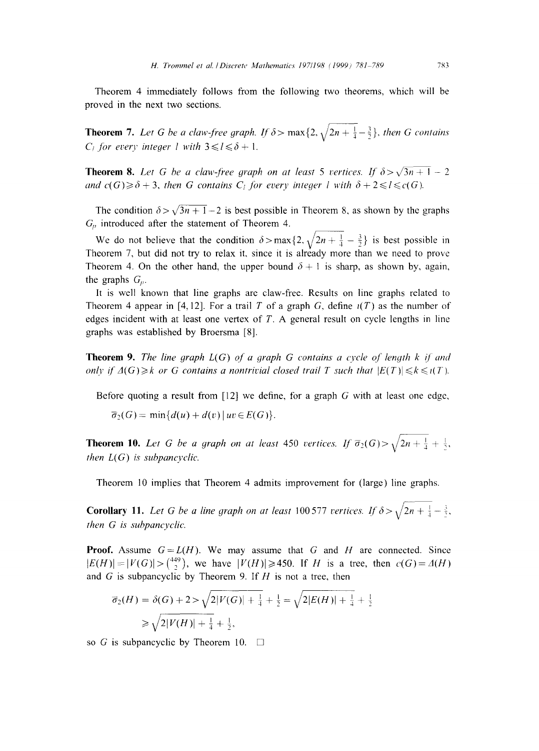Theorem 4 immediately follows from the following two theorems, which will be proved in the next two sections.

**Theorem 7.** Let G be a claw-free graph. If  $\delta$  > max{2,  $\sqrt{2n+\frac{1}{4}}-\frac{3}{2}$ }, then G contains *C<sub>i</sub>* for every integer l with  $3 \le l \le \delta + 1$ .

**Theorem 8.** Let G be a claw-free graph on at least 5 vertices. If  $\delta > \sqrt{3n+1} - 2$ *and*  $c(G) \geq \delta + 3$ , then G contains  $C_i$  for every integer l with  $\delta + 2 \leq l \leq c(G)$ .

The condition  $\delta > \sqrt{3n + 1} - 2$  is best possible in Theorem 8, as shown by the graphs  $G_p$  introduced after the statement of Theorem 4.

We do not believe that the condition  $\delta > \max\{2, \sqrt{2n + \frac{1}{4} - \frac{3}{2}}\}$  is best possible in Theorem 7, but did not try to relax it, since it is already more than we need to prove Theorem 4. On the other hand, the upper bound  $\delta + 1$  is sharp, as shown by, again, the graphs  $G_n$ .

It is well known that line graphs are claw-free. Results on line graphs related to Theorem 4 appear in [4, 12]. For a trail T of a graph G, define  $\iota(T)$  as the number of edges incident with at least one vertex of  $T$ . A general result on cycle lengths in line graphs was established by Broersma [8].

**Theorem 9.** The line graph  $L(G)$  of a graph G contains a cycle of length k if and *only if*  $\Delta(G) \geq k$  or G contains a nontrivial closed trail T such that  $|E(T)| \leq k \leq t(T)$ .

Before quoting a result from [12] we define, for a graph  $G$  with at least one edge,

 $\overline{\sigma}_2(G) = \min\{d(u) + d(v) | uv \in E(G)\}.$ 

**Theorem 10.** Let G be a graph on at least 450 vertices. If  $\overline{\sigma}_2(G) > \sqrt{2n + \frac{1}{4}} + \frac{1}{2}$ . *then L(G) is subpancvclic.* 

Theorem 10 implies that Theorem 4 admits improvement for (large) line graphs.

**Corollary 11.** Let G be a line graph on at least 100.577 vertices. If  $\delta > \sqrt{2n + \frac{1}{4} - \frac{3}{2}}$ . *then G is subpancyclic.* 

**Proof.** Assume  $G = L(H)$ . We may assume that G and H are connected. Since  $|E(H)|=|V(G)|>(449)$ , we have  $|V(H)| \ge 450$ . If *H* is a tree, then  $c(G)=A(H)$ and G is subpancyclic by Theorem 9. If  $H$  is not a tree, then

$$
\overline{\sigma}_2(H) = \delta(G) + 2 > \sqrt{2|V(G)| + \frac{1}{4} + \frac{1}{2}} = \sqrt{2|E(H)| + \frac{1}{4} + \frac{1}{2}}
$$
  
\n
$$
\geq \sqrt{2|V(H)| + \frac{1}{4} + \frac{1}{2}},
$$

so G is subpancyclic by Theorem 10.  $\Box$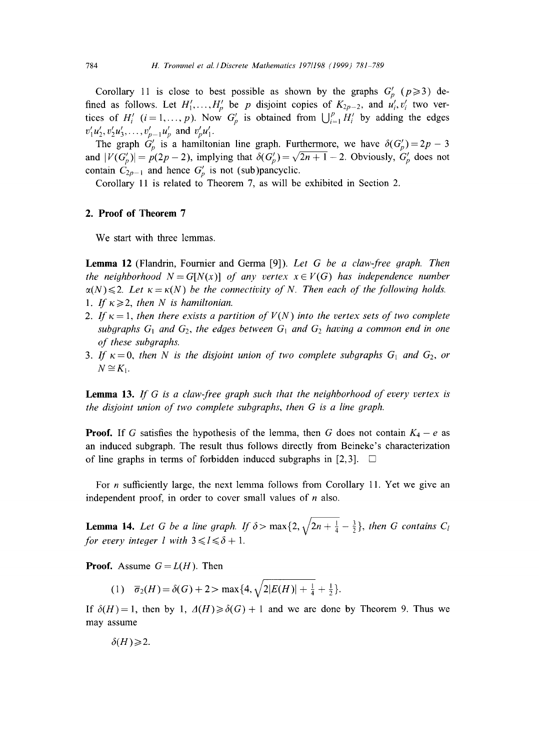Corollary 11 is close to best possible as shown by the graphs  $G_p$  ( $p \ge 3$ ) defined as follows. Let  $H'_1, \ldots, H'_p$  be p disjoint copies of  $K_{2p-2}$ , and  $u'_i, v'_i$  two vertices of  $H'_{i}$  ( $i = 1, ..., p$ ). Now  $G'_{p}$  is obtained from  $\bigcup_{i=1}^{p} H'_{i}$  by adding the edges  $v'_1u'_2, v'_2u'_3, \ldots, v'_{p-1}u'_p$  and  $v'_pu'_1$ .

The graph  $G_p'$  is a hamiltonian line graph. Furthermore, we have  $\delta(G_p') = 2p - 3$ and  $|V(G_p')| = p(2p - 2)$ , implying that  $\delta(G_p') = \sqrt{2n + 1} - 2$ . Obviously,  $G_p'$  does not contain  $C_{2p-1}$  and hence  $G_p'$  is not (sub)pancyclic.

Corollary 11 is related to Theorem 7, as will be exhibited in Section 2.

## **2. Proof of Theorem 7**

We start with three lemmas.

Lemma 12 (Flandrin, Fournier and Germa [9]). *Let G be a claw-free 9raph. Then the neighborhood*  $N = G[N(x)]$  *of any vertex*  $x \in V(G)$  *has independence number*  $\alpha(N) \leq 2$ . Let  $\kappa = \kappa(N)$  be the connectivity of N. Then each of the following holds.

- 1. If  $\kappa \geq 2$ , then N is hamiltonian.
- 2. If  $\kappa = 1$ , then there exists a partition of  $V(N)$  into the vertex sets of two complete subgraphs  $G_1$  and  $G_2$ , the edges between  $G_1$  and  $G_2$  having a common end in one *of these subgraphs.*
- 3. If  $\kappa = 0$ , then N is the disjoint union of two complete subgraphs  $G_1$  and  $G_2$ , or  $N \cong K_1$ .

Lemma 13. *If G is a claw-free 9raph such that the neighborhood of every vertex is the disjoint union of two complete subgraphs, then G is a line graph.* 

**Proof.** If G satisfies the hypothesis of the lemma, then G does not contain  $K_4 - e$  as an induced subgraph. The result thus follows directly from Beineke's characterization of line graphs in terms of forbidden induced subgraphs in [2,3].  $\Box$ 

For *n* sufficiently large, the next lemma follows from Corollary 11. Yet we give an independent proof, in order to cover small values of  $n$  also.

**Lemma 14.** Let G be a line graph. If  $\delta$  > max $\{2, \sqrt{2n + \frac{1}{4} - \frac{3}{2}}\}$ , then G contains C<sub>l</sub> *for every integer l with*  $3 \le l \le \delta + 1$ .

**Proof.** Assume  $G = L(H)$ . Then

(1)  $\overline{\sigma}_2(H) = \delta(G) + 2 > \max\{4, \sqrt{2|E(H)| + \frac{1}{4} + \frac{1}{2}}\}.$ 

If  $\delta(H) = 1$ , then by 1,  $\Delta(H) \ge \delta(G) + 1$  and we are done by Theorem 9. Thus we may assume

 $\delta(H) \geq 2$ .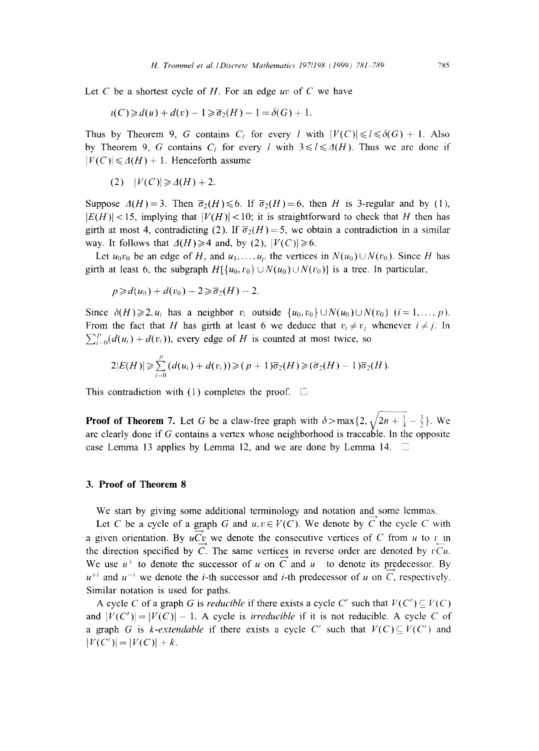Let C be a shortest cycle of H. For an edge *uv* of C we have

$$
\iota(C)\geqslant d(u)+d(v)-1\geqslant \overline{\sigma}_2(H)-1=\delta(G)+1.
$$

Thus by Theorem 9, G contains  $C_l$  for every *l* with  $|V(C)| \le l \le \delta(G) + 1$ . Also by Theorem 9, G contains  $C_l$  for every l with  $3 \le l \le \Delta(H)$ . Thus we are done if  $|V(C)| \leq A(H) + 1$ . Henceforth assume

$$
(2) \quad |V(C)| \geq \Delta(H) + 2.
$$

Suppose  $A(H)=3$ . Then  $\overline{\sigma}_2(H)\leq 6$ . If  $\overline{\sigma}_2(H)=6$ , then H is 3-regular and by (1),  $|E(H)| < 15$ , implying that  $|V(H)| < 10$ ; it is straightforward to check that H then has girth at most 4, contradicting (2). If  $\overline{\sigma}_2(H)=5$ , we obtain a contradiction in a similar way. It follows that  $\Delta(H) \geq 4$  and, by (2),  $|V(C)| \geq 6$ .

Let  $u_0v_0$  be an edge of H, and  $u_1, \ldots, u_p$  the vertices in  $N(u_0) \cup N(v_0)$ . Since H has girth at least 6, the subgraph  $H[\lbrace u_0, v_0 \rbrace \cup N(u_0) \cup N(v_0)]$  is a tree. In particular,

 $p \geq d(u_0) + d(v_0) - 2 \geq \overline{\sigma}_2(H) - 2.$ 

Since  $\delta(H)\geq 2$ ,  $u_i$  has a neighbor  $v_i$  outside  $\{u_0, v_0\}\cup N(u_0)\cup N(v_0)$   $(i=1, ..., p)$ . From the fact that H has girth at least 6 we deduce that  $v_i \neq v_j$  whenever  $i \neq j$ . In  $\sum_{i=0}^{p} (d(u_i)+d(v_i))$ , every edge of H is counted at most twice, so

$$
2|E(H)| \geqslant \sum_{i=0}^p (d(u_i)+d(v_i)) \geqslant (p+1)\overline{\sigma}_2(H) \geqslant (\overline{\sigma}_2(H)-1)\overline{\sigma}_2(H).
$$

This contradiction with (1) completes the proof.  $\square$ 

**Proof of Theorem 7.** Let G be a claw-free graph with  $\delta > \max\{2, \sqrt{2n + \frac{1}{4} - \frac{3}{2}}\}$ . We are clearly done if G contains a vertex whose neighborhood is traceable. In the opposite case Lemma 13 applies by Lemma 12, and we are done by Lemma 14.  $\Box$ 

### **3. Proof of Theorem 8**

We start by giving some additional terminology and notation and some lemmas.

Let C be a cycle of a  $\underline{\text{graph}}$  G and  $u, v \in V(C)$ . We denote by C the cycle C with a given orientation. By  $uC_v$  we denote the consecutive vertices of C from u to  $v_{\text{min}}$ the direction specified by C. The same vertices in reverse order are denoted by  $vCu$ . We use  $u^+$  to denote the successor of u on C and u to denote its predecessor. By  $u^{+i}$  and  $u^{-i}$  we denote the *i*-th successor and *i*-th predecessor of u on C, respectively. Similar notation is used for paths.

A cycle C of a graph G is *reducible* if there exists a cycle C' such that  $V(C') \subseteq V(C)$ and  $|V(C')| = |V(C)| - 1$ . A cycle is *irreducible* if it is not reducible. A cycle C of a graph G is *k*-extendable if there exists a cycle C' such that  $V(C) \subseteq V(C')$  and  $|V(C')| = |V(C)| + k.$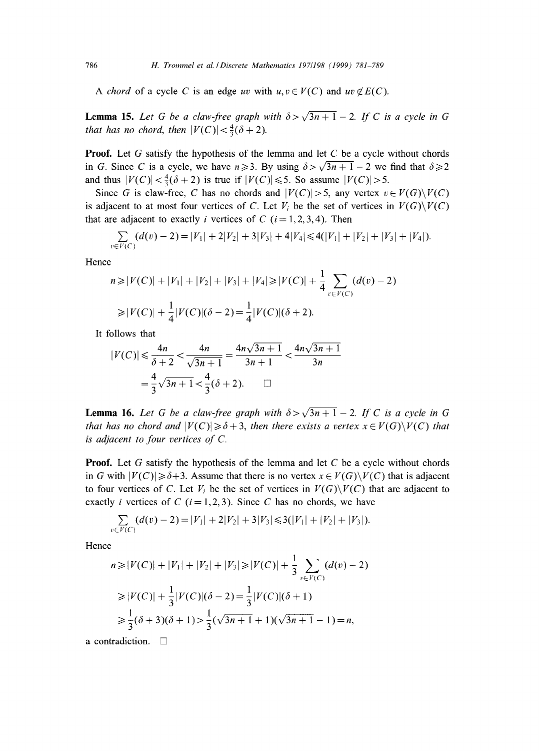*A chord* of a cycle *C* is an edge *uv* with  $u, v \in V(C)$  and  $uv \notin E(C)$ .

**Lemma 15.** Let G be a claw-free graph with  $\delta > \sqrt{3n+1} - 2$ . If C is a cycle in G *that has no chord, then*  $|V(C)| < \frac{4}{3}(\delta + 2)$ .

**Proof.** Let G satisfy the hypothesis of the lemma and let C be a cycle without chords in G. Since C is a cycle, we have  $n \ge 3$ . By using  $\delta > \sqrt{3n+1} - 2$  we find that  $\delta \ge 2$ and thus  $|V(C)| < \frac{4}{3}(\delta + 2)$  is true if  $|V(C)| \le 5$ . So assume  $|V(C)| > 5$ .

Since G is claw-free, C has no chords and  $|V(C)| > 5$ , any vertex  $v \in V(G) \setminus V(C)$ is adjacent to at most four vertices of C. Let  $V_i$  be the set of vertices in  $V(G)\backslash V(C)$ that are adjacent to exactly *i* vertices of C ( $i = 1, 2, 3, 4$ ). Then

$$
\sum_{v \in V(C)} (d(v) - 2) = |V_1| + 2|V_2| + 3|V_3| + 4|V_4| \le 4(|V_1| + |V_2| + |V_3| + |V_4|).
$$

Hence

$$
n \ge |V(C)| + |V_1| + |V_2| + |V_3| + |V_4| \ge |V(C)| + \frac{1}{4} \sum_{v \in V(C)} (d(v) - 2)
$$
  
\n
$$
\ge |V(C)| + \frac{1}{4}|V(C)|(\delta - 2) = \frac{1}{4}|V(C)|(\delta + 2).
$$

It follows that

$$
|V(C)| \le \frac{4n}{\delta + 2} < \frac{4n}{\sqrt{3n + 1}} = \frac{4n\sqrt{3n + 1}}{3n + 1} < \frac{4n\sqrt{3n + 1}}{3n} = \frac{4}{3}\sqrt{3n + 1} < \frac{4}{3}(\delta + 2). \qquad \Box
$$

**Lemma 16.** Let G be a claw-free graph with  $\delta > \sqrt{3n+1} - 2$ . If C is a cycle in G *that has no chord and*  $|V(C)| \geq \delta + 3$ *, then there exists a vertex*  $x \in V(G) \setminus V(C)$  *that is adjacent to four vertices of C.* 

**Proof.** Let G satisfy the hypothesis of the lemma and let C be a cycle without chords in G with  $|V(C)| \geq \delta+3$ . Assume that there is no vertex  $x \in V(G) \setminus V(C)$  that is adjacent to four vertices of C. Let  $V_i$  be the set of vertices in  $V(G)\setminus V(C)$  that are adjacent to exactly *i* vertices of C ( $i = 1, 2, 3$ ). Since C has no chords, we have

$$
\sum_{v \in V(C)} (d(v) - 2) = |V_1| + 2|V_2| + 3|V_3| \le 3(|V_1| + |V_2| + |V_3|).
$$

Hence

$$
n \ge |V(C)| + |V_1| + |V_2| + |V_3| \ge |V(C)| + \frac{1}{3} \sum_{v \in V(C)} (d(v) - 2)
$$
  
\n
$$
\ge |V(C)| + \frac{1}{3}|V(C)|(\delta - 2) = \frac{1}{3}|V(C)|(\delta + 1)
$$
  
\n
$$
\ge \frac{1}{3}(\delta + 3)(\delta + 1) > \frac{1}{3}(\sqrt{3n + 1} + 1)(\sqrt{3n + 1} - 1) = n,
$$

a contradiction.  $\square$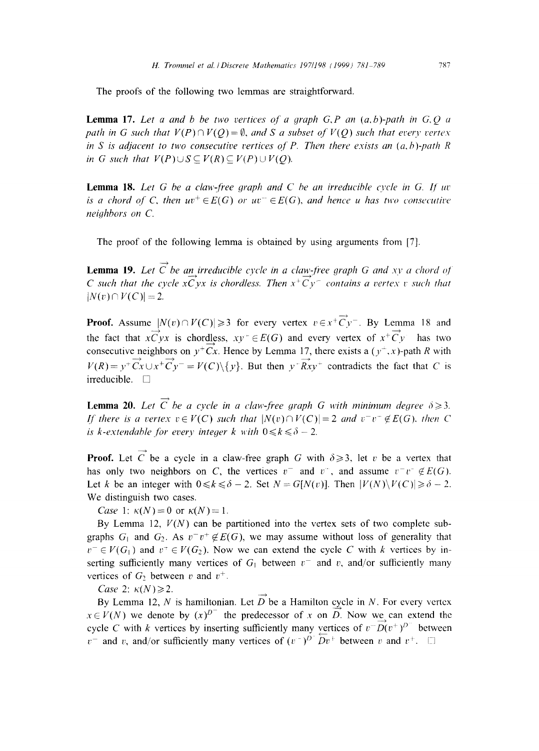The proofs of the following two lemmas are straightforward.

Lemma 17. *Let a and b be two vertices of a graph G,P an (a,b)-path in G.Q a path in G such that*  $V(P) \cap V(Q) = \emptyset$ *, and S a subset of*  $V(Q)$  *such that every vertex in S is adjacent to two consecutive vertices of P. Then there exists an*  $(a, b)$ *-path R in G such that*  $V(P) \cup S \subseteq V(R) \subseteq V(P) \cup V(Q)$ .

**Lemma 18.** Let G be a claw-free graph and C be an irreducible cycle in G. If  $uv$ *is a chord of C, then*  $uv^+ \in E(G)$  *or*  $uv^- \in E(G)$ *, and hence u has two consecutive neighbors on C.* 

The proof of the following lemma is obtained by using arguments from [7].

**Lemma 19.** Let  $\overrightarrow{C}$  be an irreducible cycle in a claw-free graph G and xy a chord of *C* such that the cycle  $x\overrightarrow{C}$ yx is chordless. Then  $x^+\overrightarrow{C}y^-$  contains a vertex v such that  $|N(v) \cap V(C)| = 2.$ 

**Proof.** Assume  $|N(v) \cap V(C)| \ge 3$  for every vertex  $v \in x^+ \overrightarrow{C} v^-$ . By Lemma 18 and the fact that  $x \overrightarrow{C} yx$  is chordless,  $xy^+ \in E(G)$  and every vertex of  $x^+ \overrightarrow{C} y$  has two consecutive neighbors on  $y^+Cx$ . Hence by Lemma 17, there exists a  $(y^+,x)$ -path R with  $V(R) = y^+ \overrightarrow{C_X} \cup x^+ \overrightarrow{C_Y}^- = V(C) \setminus \{y\}$ . But then  $y^+ \overrightarrow{R_{XY}}^+$  contradicts the fact that C is irreducible.  $\square$ 

**Lemma 20.** Let  $\overrightarrow{C}$  be a cycle in a claw-free graph G with minimum degree  $\delta \geq 3$ . *If there is a vertex*  $v \in V(C)$  *such that*  $|N(v) \cap V(C)| = 2$  *and*  $v^-v^- \notin E(G)$ , *then* C *is k-extendable for every integer k with*  $0 \le k \le \delta - 2$ .

**Proof.** Let C be a cycle in a claw-free graph G with  $\delta \ge 3$ , let v be a vertex that has only two neighbors on C, the vertices  $v^-$  and  $v^+$ , and assume  $v^-v^- \notin E(G)$ . Let k be an integer with  $0 \le k \le \delta - 2$ . Set  $N = G[N(v)]$ . Then  $|V(N) \setminus V(C)| \ge \delta - 2$ . We distinguish two cases.

*Case* 1:  $\kappa(N) = 0$  or  $\kappa(N) = 1$ .

By Lemma 12,  $V(N)$  can be partitioned into the vertex sets of two complete subgraphs  $G_1$  and  $G_2$ . As  $v^-v^+ \notin E(G)$ , we may assume without loss of generality that  $v^- \in V(G_1)$  and  $v^+ \in V(G_2)$ . Now we can extend the cycle C with k vertices by inserting sufficiently many vertices of  $G_1$  between  $v^-$  and v, and/or sufficiently many vertices of  $G_2$  between v and  $v^+$ .

*Case* 2:  $\kappa(N) \geq 2$ .

By Lemma 12, N is hamiltonian. Let  $D$  be a Hamilton cycle in N. For every vertex  $x \in V(N)$  we denote by  $(x)^{D^-}$  the predecessor of x on D. Now we can extend the cycle C with k vertices by inserting sufficiently many vertices of  $v^{\dagger}D(v^{\dagger})^{D^{\dagger}}$  between  $v^-$  and v, and/or sufficiently many vertices of  $(v^-)^{D^-} \overline{D} v^+$  between v and  $v^+$ .

 $-+$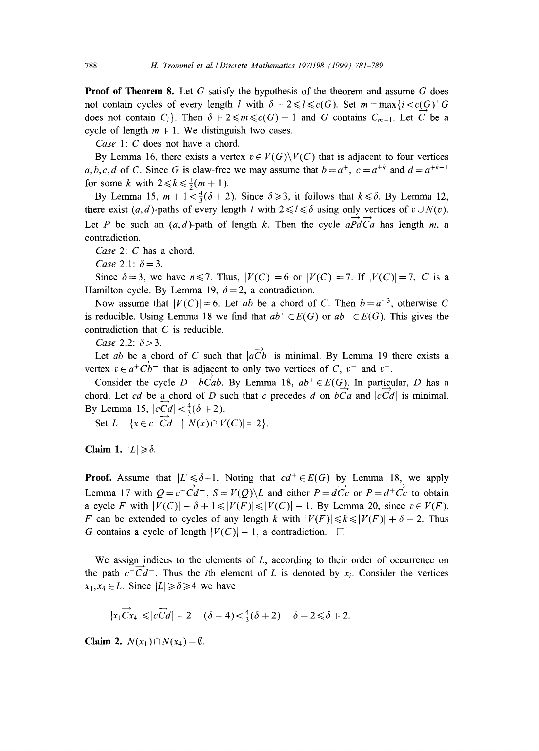**Proof of Theorem 8.** Let G satisfy the hypothesis of the theorem and assume G does not contain cycles of every length *l* with  $\delta + 2 \leq l \leq c(G)$ . Set  $m = \max\{i < c(G) | G$ does not contain  $C_i$ . Then  $\delta + 2 \le m \le c(G)-1$  and G contains  $C_{m+1}$ . Let C be a cycle of length  $m + 1$ . We distinguish two cases.

*Case* 1: C does not have a chord.

By Lemma 16, there exists a vertex  $v \in V(G) \setminus V(C)$  that is adjacent to four vertices *a,b,c,d* of *C*. Since *G* is claw-free we may assume that  $b=a^+$ ,  $c=a^{+k}$  and  $d=a^{+k+1}$ for some k with  $2 \le k \le \frac{1}{2}(m + 1)$ .

By Lemma 15,  $m + 1 < \frac{4}{3}(\delta + 2)$ . Since  $\delta \ge 3$ , it follows that  $k \le \delta$ . By Lemma 12, there exist  $(a, d)$ -paths of every length l with  $2 \le l \le \delta$  using only vertices of  $v \cup N(v)$ . Let P be such an  $(a, d)$ -path of length k. Then the cycle  $a\overrightarrow{PdCa}$  has length m, a contradiction.

*Case* 2: C has a chord.

*Case* 2.1:  $\delta = 3$ .

Since  $\delta = 3$ , we have  $n \le 7$ . Thus,  $|V(C)| = 6$  or  $|V(C)| = 7$ . If  $|V(C)| = 7$ , C is a Hamilton cycle. By Lemma 19,  $\delta = 2$ , a contradiction.

Now assume that  $|V(C)| = 6$ . Let *ab* be a chord of C. Then  $b = a^{+3}$ , otherwise C is reducible. Using Lemma 18 we find that  $ab^+ \in E(G)$  or  $ab^- \in E(G)$ . This gives the contradiction that C is reducible.

*Case* 2.2:  $\delta$  > 3.

Let *ab* be a chord of C such that  $|\overrightarrow{aCb}|$  is minimal. By Lemma 19 there exists a vertex  $v \in a^+ \overrightarrow{Cb}^-$  that is adjacent to only two vertices of C,  $v^-$  and  $v^+$ .

Consider the cycle  $D = bCab$ . By Lemma 18,  $ab^+ \in E(G)$ . In particular, D has a chord. Let *cd* be a chord of D such that c precedes d on  $bCa$  and  $|cCd|$  is minimal. By Lemma 15,  $|cCd| < \frac{4}{3}(\delta + 2)$ .

Set  $L = \{x \in c^+ \overrightarrow{C} d^- \mid |N(x) \cap V(C)| = 2\}.$ 

**Claim 1.**  $|L| \geq \delta$ .

**Proof.** Assume that  $|L| \le \delta - 1$ . Noting that  $cd^+ \in E(G)$  by Lemma 18, we apply Lemma 17 with  $Q = c^+ \overrightarrow{Cd}^-$ ,  $S = V(Q) \backslash L$  and either  $P = d\overrightarrow{CC}$  or  $P = d^+ \overrightarrow{Cc}$  to obtain a cycle F with  $|V(C)| - \delta + 1 \leq |V(F)| \leq |V(C)| - 1$ . By Lemma 20, since  $v \in V(F)$ , F can be extended to cycles of any length k with  $|V(F)| \le k \le |V(F)| + \delta - 2$ . Thus G contains a cycle of length  $|V(C)|-1$ , a contradiction.  $\square$ 

We assign indices to the elements of  $L$ , according to their order of occurrence on the path  $c^+Cd^-$ . Thus the *i*th element of L is denoted by  $x_i$ . Consider the vertices  $x_1, x_4 \in L$ . Since  $|L| \ge \delta \ge 4$  we have

$$
|x_1\overrightarrow{Cx_4}| \leq |c\overrightarrow{Cd}| - 2 - (\delta - 4) < \frac{4}{3}(\delta + 2) - \delta + 2 \leq \delta + 2.
$$

**Claim 2.**  $N(x_1) \cap N(x_4) = \emptyset$ .